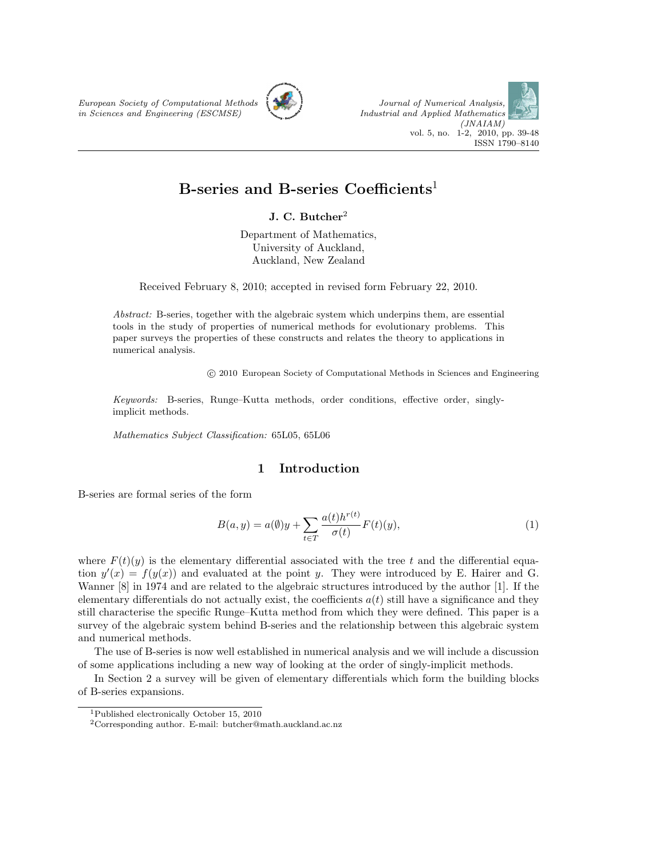European Society of Computational Methods in Sciences and Engineering (ESCMSE)





# B-series and B-series Coefficients<sup>1</sup>

J. C. Butcher<sup>2</sup>

Department of Mathematics, University of Auckland, Auckland, New Zealand

Received February 8, 2010; accepted in revised form February 22, 2010.

Abstract: B-series, together with the algebraic system which underpins them, are essential tools in the study of properties of numerical methods for evolutionary problems. This paper surveys the properties of these constructs and relates the theory to applications in numerical analysis.

c 2010 European Society of Computational Methods in Sciences and Engineering

Keywords: B-series, Runge–Kutta methods, order conditions, effective order, singlyimplicit methods.

Mathematics Subject Classification: 65L05, 65L06

### 1 Introduction

B-series are formal series of the form

$$
B(a, y) = a(\emptyset)y + \sum_{t \in T} \frac{a(t)h^{r(t)}}{\sigma(t)} F(t)(y),
$$
\n(1)

where  $F(t)(y)$  is the elementary differential associated with the tree t and the differential equation  $y'(x) = f(y(x))$  and evaluated at the point y. They were introduced by E. Hairer and G. Wanner [8] in 1974 and are related to the algebraic structures introduced by the author [1]. If the elementary differentials do not actually exist, the coefficients  $a(t)$  still have a significance and they still characterise the specific Runge–Kutta method from which they were defined. This paper is a survey of the algebraic system behind B-series and the relationship between this algebraic system and numerical methods.

The use of B-series is now well established in numerical analysis and we will include a discussion of some applications including a new way of looking at the order of singly-implicit methods.

In Section 2 a survey will be given of elementary differentials which form the building blocks of B-series expansions.

<sup>1</sup>Published electronically October 15, 2010

<sup>2</sup>Corresponding author. E-mail: butcher@math.auckland.ac.nz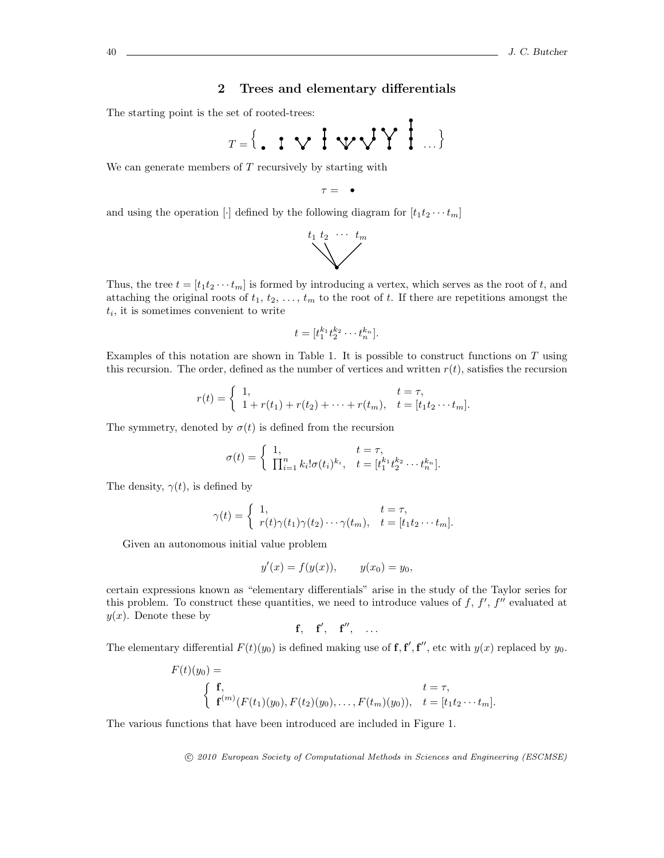# 2 Trees and elementary differentials

The starting point is the set of rooted-trees:

$$
T = \{ .\, 1 \vee 1 \vee \forall Y \} \dots \}
$$

We can generate members of  $T$  recursively by starting with

$$
\tau = -\bullet
$$

and using the operation [·] defined by the following diagram for  $[t_1t_2 \cdots t_m]$ 



Thus, the tree  $t = [t_1 t_2 \cdots t_m]$  is formed by introducing a vertex, which serves as the root of t, and attaching the original roots of  $t_1, t_2, \ldots, t_m$  to the root of t. If there are repetitions amongst the  $t_i$ , it is sometimes convenient to write

$$
t=[t_1^{k_1}t_2^{k_2}\cdots t_n^{k_n}].
$$

Examples of this notation are shown in Table 1. It is possible to construct functions on  $T$  using this recursion. The order, defined as the number of vertices and written  $r(t)$ , satisfies the recursion

$$
r(t) = \begin{cases} 1, & t = \tau, \\ 1 + r(t_1) + r(t_2) + \dots + r(t_m), & t = [t_1 t_2 \dots t_m]. \end{cases}
$$

The symmetry, denoted by  $\sigma(t)$  is defined from the recursion

$$
\sigma(t) = \begin{cases} 1, & t = \tau, \\ \prod_{i=1}^n k_i! \sigma(t_i)^{k_i}, & t = [t_1^{k_1} t_2^{k_2} \cdots t_n^{k_n}]. \end{cases}
$$

The density,  $\gamma(t)$ , is defined by

$$
\gamma(t) = \begin{cases} 1, & t = \tau, \\ r(t)\gamma(t_1)\gamma(t_2)\cdots\gamma(t_m), & t = [t_1t_2\cdots t_m]. \end{cases}
$$

Given an autonomous initial value problem

$$
y'(x) = f(y(x)),
$$
  $y(x_0) = y_0,$ 

certain expressions known as "elementary differentials" arise in the study of the Taylor series for this problem. To construct these quantities, we need to introduce values of  $f, f', f''$  evaluated at  $y(x)$ . Denote these by

$$
f, \quad f', \quad f'', \quad \ldots
$$

The elementary differential  $F(t)(y_0)$  is defined making use of  $f, f', f''$ , etc with  $y(x)$  replaced by  $y_0$ .

$$
F(t)(y_0) = t = \tau,
$$
  

$$
\begin{cases} \mathbf{f}, & t = \tau, \\ \mathbf{f}^{(m)}(F(t_1)(y_0), F(t_2)(y_0), \dots, F(t_m)(y_0)), & t = [t_1 t_2 \cdots t_m]. \end{cases}
$$

The various functions that have been introduced are included in Figure 1.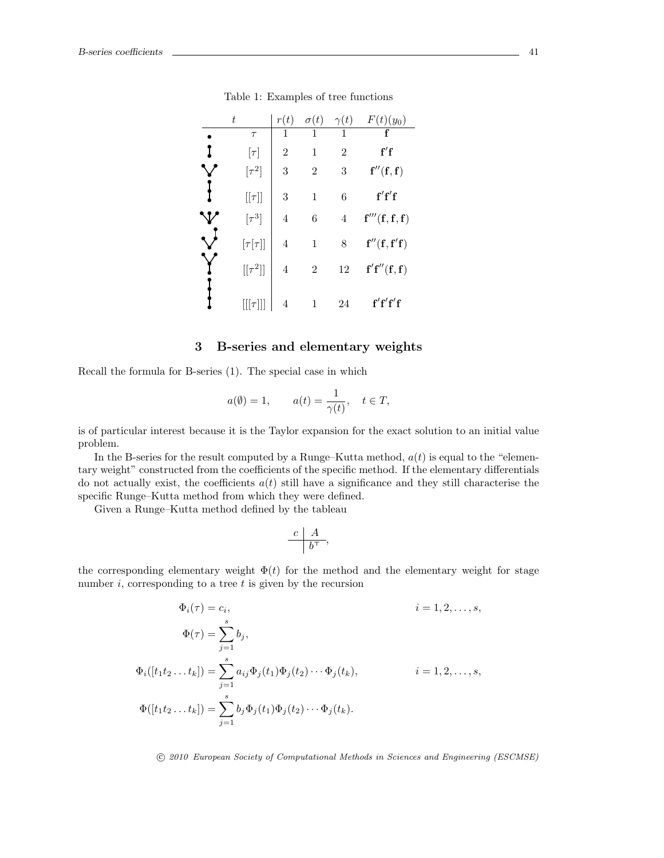| $\, t \,$      | r(t)           | $\sigma(t)$    | $\gamma(t)$    | $F(t)(y_0)$                           |
|----------------|----------------|----------------|----------------|---------------------------------------|
| $\tau$         | 1              | 1              | 1              |                                       |
| $[\tau]$       | $\overline{2}$ | 1              | $\overline{2}$ | f'f                                   |
| $[\tau^2]$     | 3              | $\overline{2}$ | 3              | f''(f,f)                              |
| $[[\tau]]$     | 3              | 1              | 6              | f'f'                                  |
| $[\tau^3]$     | 4              | 6              | $\overline{4}$ | ${\bf f}'''({\bf f},{\bf f},{\bf f})$ |
| $[\tau[\tau]]$ | 4              | 1              | 8              | f''(f, f'f)                           |
| $[[\tau^2]]$   | 4              | $\overline{2}$ | 12             | f'f''(f,f)                            |
| $    \tau$     | 4              | 1              | 24             | f'f'f'f                               |

Table 1: Examples of tree functions

# 3 B-series and elementary weights

Recall the formula for B-series (1). The special case in which

$$
a(\emptyset) = 1,
$$
  $a(t) = \frac{1}{\gamma(t)}, \quad t \in T,$ 

is of particular interest because it is the Taylor expansion for the exact solution to an initial value problem.

In the B-series for the result computed by a Runge–Kutta method,  $a(t)$  is equal to the "elementary weight" constructed from the coefficients of the specific method. If the elementary differentials do not actually exist, the coefficients  $a(t)$  still have a significance and they still characterise the specific Runge–Kutta method from which they were defined.

Given a Runge–Kutta method defined by the tableau

$$
\frac{c \mid A}{b^\top},
$$

the corresponding elementary weight  $\Phi(t)$  for the method and the elementary weight for stage number  $i$ , corresponding to a tree  $t$  is given by the recursion

$$
\Phi_i(\tau) = c_i, \qquad i = 1, 2, ..., s,
$$
  
\n
$$
\Phi(\tau) = \sum_{j=1}^s b_j,
$$
  
\n
$$
\Phi_i([t_1 t_2 ... t_k]) = \sum_{j=1}^s a_{ij} \Phi_j(t_1) \Phi_j(t_2) \cdots \Phi_j(t_k), \qquad i = 1, 2, ..., s,
$$
  
\n
$$
\Phi([t_1 t_2 ... t_k]) = \sum_{j=1}^s b_j \Phi_j(t_1) \Phi_j(t_2) \cdots \Phi_j(t_k).
$$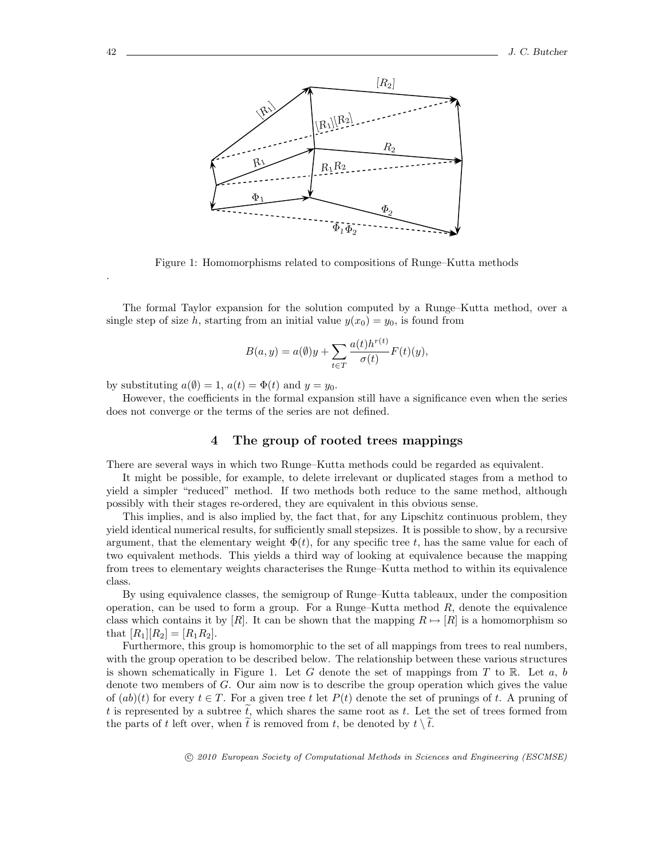

Figure 1: Homomorphisms related to compositions of Runge–Kutta methods

The formal Taylor expansion for the solution computed by a Runge–Kutta method, over a single step of size h, starting from an initial value  $y(x_0) = y_0$ , is found from

$$
B(a, y) = a(\emptyset)y + \sum_{t \in T} \frac{a(t)h^{r(t)}}{\sigma(t)} F(t)(y),
$$

by substituting  $a(\emptyset) = 1$ ,  $a(t) = \Phi(t)$  and  $y = y_0$ .

However, the coefficients in the formal expansion still have a significance even when the series does not converge or the terms of the series are not defined.

## 4 The group of rooted trees mappings

There are several ways in which two Runge–Kutta methods could be regarded as equivalent.

It might be possible, for example, to delete irrelevant or duplicated stages from a method to yield a simpler "reduced" method. If two methods both reduce to the same method, although possibly with their stages re-ordered, they are equivalent in this obvious sense.

This implies, and is also implied by, the fact that, for any Lipschitz continuous problem, they yield identical numerical results, for sufficiently small stepsizes. It is possible to show, by a recursive argument, that the elementary weight  $\Phi(t)$ , for any specific tree t, has the same value for each of two equivalent methods. This yields a third way of looking at equivalence because the mapping from trees to elementary weights characterises the Runge–Kutta method to within its equivalence class.

By using equivalence classes, the semigroup of Runge–Kutta tableaux, under the composition operation, can be used to form a group. For a Runge–Kutta method  $R$ , denote the equivalence class which contains it by  $[R]$ . It can be shown that the mapping  $R \mapsto [R]$  is a homomorphism so that  $[R_1][R_2] = [R_1R_2]$ .

Furthermore, this group is homomorphic to the set of all mappings from trees to real numbers, with the group operation to be described below. The relationship between these various structures is shown schematically in Figure 1. Let G denote the set of mappings from T to R. Let  $a, b$ denote two members of G. Our aim now is to describe the group operation which gives the value of  $(ab)(t)$  for every  $t \in T$ . For a given tree t let  $P(t)$  denote the set of prunings of t. A pruning of t is represented by a subtree  $\tilde{t}$ , which shares the same root as t. Let the set of trees formed from the parts of t left over, when  $\tilde{t}$  is removed from t, be denoted by  $t \setminus \tilde{t}$ .

c 2010 European Society of Computational Methods in Sciences and Engineering (ESCMSE)

.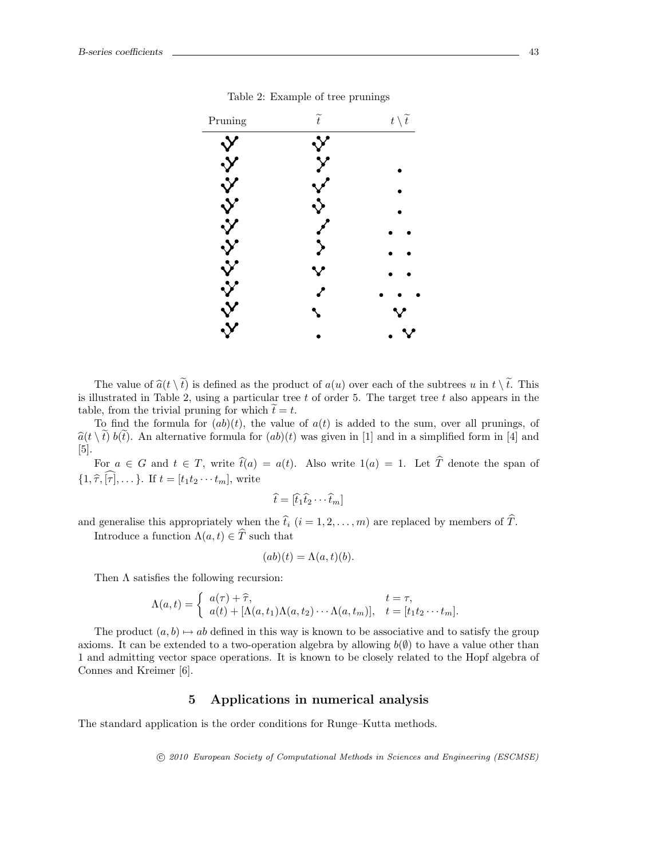

Table 2: Example of tree prunings

The value of  $\widehat{a}(t \setminus \widetilde{t})$  is defined as the product of  $a(u)$  over each of the subtrees u in  $t \setminus \widetilde{t}$ . This is illustrated in Table 2, using a particular tree  $t$  of order 5. The target tree  $t$  also appears in the table, from the trivial pruning for which  $\widetilde{t} = t$ .

To find the formula for  $(ab)(t)$ , the value of  $a(t)$  is added to the sum, over all prunings, of  $\hat{a}(t \setminus \tilde{t})$  b( $\tilde{t}$ ). An alternative formula for  $(ab)(t)$  was given in [1] and in a simplified form in [4] and [5].

For  $a \in G$  and  $t \in T$ , write  $\hat{t}(a) = a(t)$ . Also write  $1(a) = 1$ . Let  $\hat{T}$  denote the span of  $\{1, \widehat{\tau}, \widehat{[\tau]}, \dots\}$ . If  $t = [t_1t_2 \cdots t_m]$ , write

$$
\widehat{t} = [\widehat{t}_1 \widehat{t}_2 \cdots \widehat{t}_m]
$$

and generalise this appropriately when the  $\hat{t}_i$   $(i = 1, 2, \ldots, m)$  are replaced by members of  $\hat{T}$ .

Introduce a function  $\Lambda(a, t) \in \hat{T}$  such that

$$
(ab)(t) = \Lambda(a, t)(b).
$$

Then  $\Lambda$  satisfies the following recursion:

$$
\Lambda(a,t) = \begin{cases} a(\tau) + \widehat{\tau}, & t = \tau, \\ a(t) + [\Lambda(a,t_1)\Lambda(a,t_2)\cdots\Lambda(a,t_m)], & t = [t_1t_2\cdots t_m]. \end{cases}
$$

The product  $(a, b) \mapsto ab$  defined in this way is known to be associative and to satisfy the group axioms. It can be extended to a two-operation algebra by allowing  $b(\emptyset)$  to have a value other than 1 and admitting vector space operations. It is known to be closely related to the Hopf algebra of Connes and Kreimer [6].

# 5 Applications in numerical analysis

The standard application is the order conditions for Runge–Kutta methods.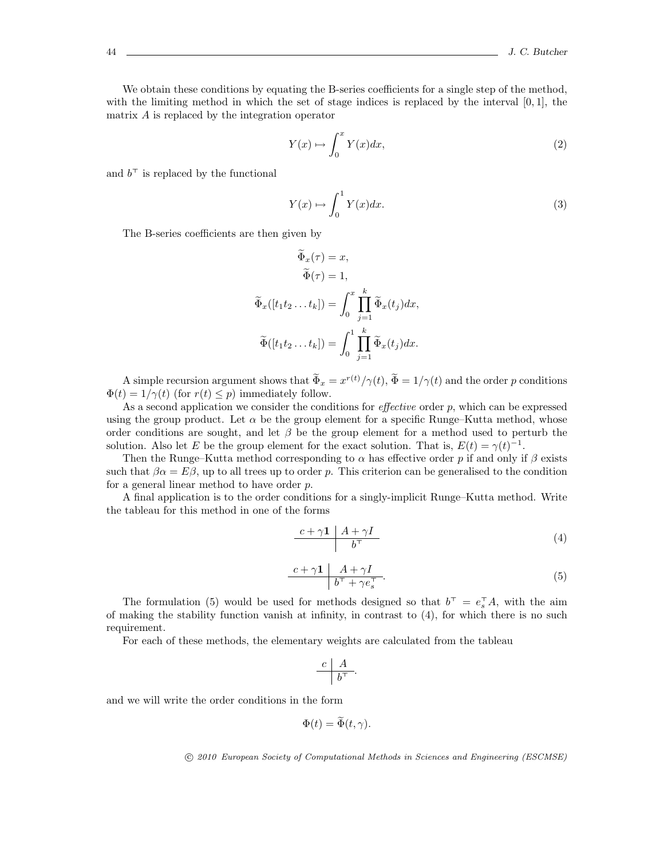We obtain these conditions by equating the B-series coefficients for a single step of the method, with the limiting method in which the set of stage indices is replaced by the interval  $[0, 1]$ , the matrix A is replaced by the integration operator

$$
Y(x) \mapsto \int_0^x Y(x)dx,\tag{2}
$$

and  $b^{\dagger}$  is replaced by the functional

$$
Y(x) \mapsto \int_0^1 Y(x)dx.
$$
 (3)

The B-series coefficients are then given by

$$
\Phi_x(\tau) = x,
$$
  
\n
$$
\widetilde{\Phi}(\tau) = 1,
$$
  
\n
$$
\widetilde{\Phi}_x([t_1t_2 \dots t_k]) = \int_0^x \prod_{j=1}^k \widetilde{\Phi}_x(t_j) dx,
$$
  
\n
$$
\widetilde{\Phi}([t_1t_2 \dots t_k]) = \int_0^1 \prod_{j=1}^k \widetilde{\Phi}_x(t_j) dx.
$$

A simple recursion argument shows that  $\Phi_x = x^{r(t)}/\gamma(t)$ ,  $\Phi = 1/\gamma(t)$  and the order p conditions  $\Phi(t) = 1/\gamma(t)$  (for  $r(t) \leq p$ ) immediately follow.

As a second application we consider the conditions for *effective* order  $p$ , which can be expressed using the group product. Let  $\alpha$  be the group element for a specific Runge–Kutta method, whose order conditions are sought, and let  $\beta$  be the group element for a method used to perturb the solution. Also let E be the group element for the exact solution. That is,  $E(t) = \gamma(t)^{-1}$ .

Then the Runge–Kutta method corresponding to  $\alpha$  has effective order p if and only if  $\beta$  exists such that  $\beta \alpha = E \beta$ , up to all trees up to order p. This criterion can be generalised to the condition for a general linear method to have order p.

A final application is to the order conditions for a singly-implicit Runge–Kutta method. Write the tableau for this method in one of the forms

$$
\begin{array}{c|c}\n c + \gamma \mathbf{1} & A + \gamma I \\
\hline\n b^\top\n \end{array} \n \tag{4}
$$

$$
\frac{c+\gamma\mathbf{1}\mid A+\gamma I}{b^{\top}+\gamma e_s^{\top}}.\tag{5}
$$

The formulation (5) would be used for methods designed so that  $b^{\dagger} = e_s^{\dagger} A$ , with the aim of making the stability function vanish at infinity, in contrast to (4), for which there is no such requirement.

For each of these methods, the elementary weights are calculated from the tableau

$$
\frac{c}{b^{\top}} \cdot
$$

and we will write the order conditions in the form

$$
\Phi(t)=\widetilde{\Phi}(t,\gamma).
$$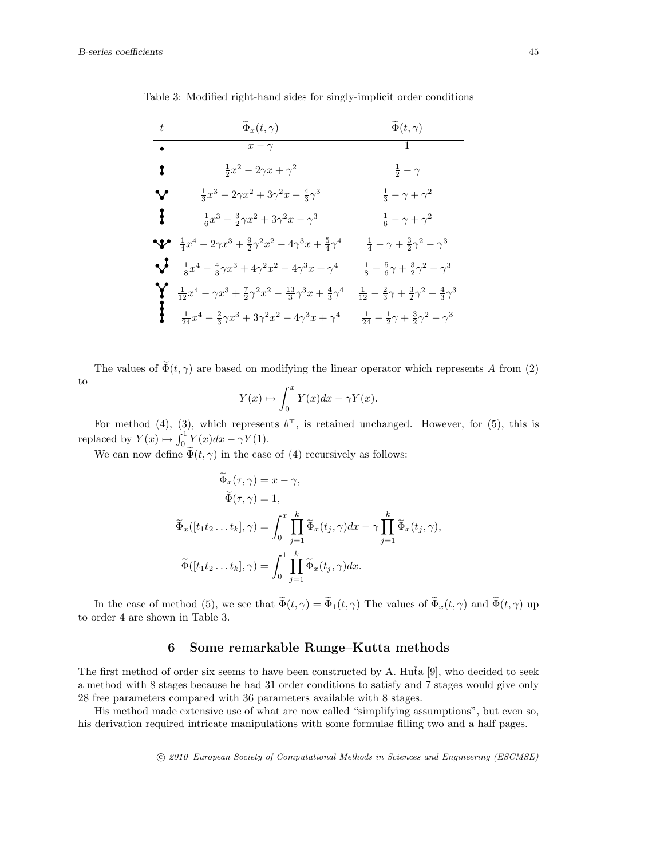Table 3: Modified right-hand sides for singly-implicit order conditions

| $t\,$        | $\widetilde{\Phi}_x(t,\gamma)$                                                                          | $\widetilde{\Phi}(t,\gamma)$                                                   |
|--------------|---------------------------------------------------------------------------------------------------------|--------------------------------------------------------------------------------|
| $\bullet$    | $x-\gamma$                                                                                              |                                                                                |
| $\mathbf{r}$ | $\frac{1}{2}x^2-2\gamma x+\gamma^2$                                                                     | $rac{1}{2} - \gamma$                                                           |
| ∾            | $\frac{1}{3}x^3 - 2\gamma x^2 + 3\gamma^2 x - \frac{4}{3}\gamma^3$                                      | $\frac{1}{3} - \gamma + \gamma^2$                                              |
| ł            | $\frac{1}{6}x^3 - \frac{3}{2}\gamma x^2 + 3\gamma^2 x - \gamma^3$                                       | $\frac{1}{6} - \gamma + \gamma^2$                                              |
|              | $\frac{1}{4}x^4 - 2\gamma x^3 + \frac{9}{2}\gamma^2 x^2 - 4\gamma^3 x + \frac{5}{4}\gamma^4$            | $\frac{1}{4} - \gamma + \frac{3}{2}\gamma^2 - \gamma^3$                        |
|              | $\sum_{a} \frac{1}{8}x^4 - \frac{4}{3}\gamma x^3 + 4\gamma^2 x^2 - 4\gamma^3 x + \gamma^4$              | $\frac{1}{8} - \frac{5}{6}\gamma + \frac{3}{2}\gamma^2 - \gamma^3$             |
| Y            | $\frac{1}{12}x^4 - \gamma x^3 + \frac{7}{2}\gamma^2 x^2 - \frac{13}{3}\gamma^3 x + \frac{4}{3}\gamma^4$ | $\frac{1}{12} - \frac{2}{3}\gamma + \frac{3}{2}\gamma^2 - \frac{4}{3}\gamma^3$ |
|              | $\frac{1}{24}x^4 - \frac{2}{3}\gamma x^3 + 3\gamma^2 x^2 - 4\gamma^3 x + \gamma^4$                      | $\frac{1}{24} - \frac{1}{2}\gamma + \frac{3}{2}\gamma^2 - \gamma^3$            |

The values of  $\widetilde{\Phi}(t, \gamma)$  are based on modifying the linear operator which represents A from (2) to  $\int_0^x$ 

$$
Y(x) \mapsto \int_0^x Y(x)dx - \gamma Y(x).
$$

For method (4), (3), which represents  $b^{\dagger}$ , is retained unchanged. However, for (5), this is replaced by  $Y(x) \mapsto \int_0^1 Y(x)dx - \gamma Y(1)$ .

We can now define  $\widetilde{\Phi}(t, \gamma)$  in the case of (4) recursively as follows:

$$
\widetilde{\Phi}_x(\tau, \gamma) = x - \gamma,
$$
  
\n
$$
\widetilde{\Phi}(\tau, \gamma) = 1,
$$
  
\n
$$
\widetilde{\Phi}_x([t_1 t_2 \dots t_k], \gamma) = \int_0^x \prod_{j=1}^k \widetilde{\Phi}_x(t_j, \gamma) dx - \gamma \prod_{j=1}^k \widetilde{\Phi}_x(t_j, \gamma),
$$
  
\n
$$
\widetilde{\Phi}([t_1 t_2 \dots t_k], \gamma) = \int_0^1 \prod_{j=1}^k \widetilde{\Phi}_x(t_j, \gamma) dx.
$$

In the case of method (5), we see that  $\widetilde{\Phi}(t, \gamma) = \widetilde{\Phi}_1(t, \gamma)$  The values of  $\widetilde{\Phi}_x(t, \gamma)$  and  $\widetilde{\Phi}(t, \gamma)$  up to order 4 are shown in Table 3.

#### 6 Some remarkable Runge–Kutta methods

The first method of order six seems to have been constructed by A. Hu $\tilde{a}$  [9], who decided to seek a method with 8 stages because he had 31 order conditions to satisfy and 7 stages would give only 28 free parameters compared with 36 parameters available with 8 stages.

His method made extensive use of what are now called "simplifying assumptions", but even so, his derivation required intricate manipulations with some formulae filling two and a half pages.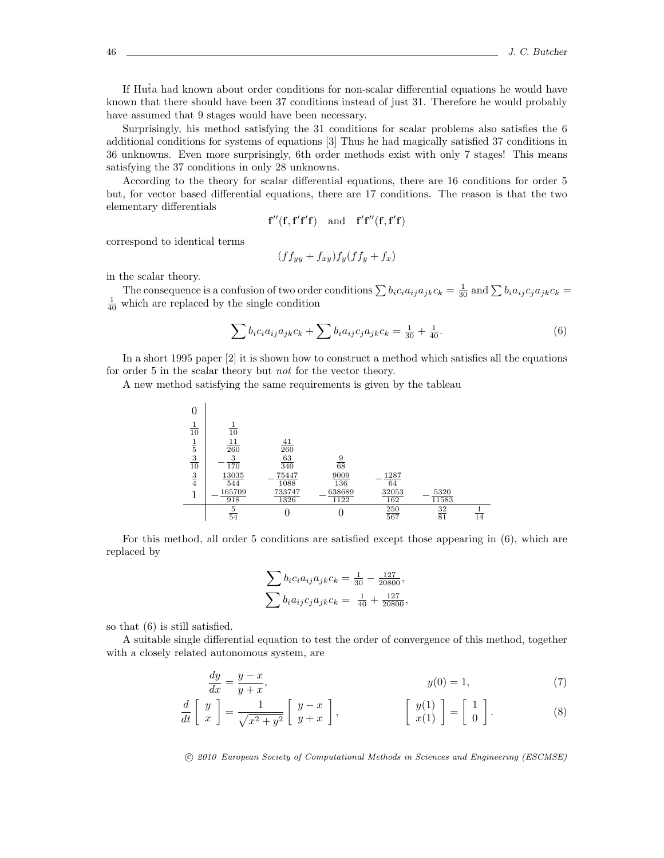If Huta had known about order conditions for non-scalar differential equations he would have known that there should have been 37 conditions instead of just 31. Therefore he would probably have assumed that 9 stages would have been necessary.

Surprisingly, his method satisfying the 31 conditions for scalar problems also satisfies the 6 additional conditions for systems of equations [3] Thus he had magically satisfied 37 conditions in 36 unknowns. Even more surprisingly, 6th order methods exist with only 7 stages! This means satisfying the 37 conditions in only 28 unknowns.

According to the theory for scalar differential equations, there are 16 conditions for order 5 but, for vector based differential equations, there are 17 conditions. The reason is that the two elementary differentials

$$
f''(f, f'f'f) \quad \text{and} \quad f'f''(f, f'f)
$$

correspond to identical terms

$$
(f f_{yy} + f_{xy}) f_y (f f_y + f_x)
$$

in the scalar theory.

The consequence is a confusion of two order conditions  $\sum b_i c_i a_{ij} a_{jk} c_k = \frac{1}{30}$  and  $\sum b_i a_{ij} c_j a_{jk} c_k =$  $\frac{1}{40}$  which are replaced by the single condition

$$
\sum b_i c_i a_{ij} a_{jk} c_k + \sum b_i a_{ij} c_j a_{jk} c_k = \frac{1}{30} + \frac{1}{40}.
$$
 (6)

In a short 1995 paper [2] it is shown how to construct a method which satisfies all the equations for order 5 in the scalar theory but not for the vector theory.

A new method satisfying the same requirements is given by the tableau



For this method, all order 5 conditions are satisfied except those appearing in (6), which are replaced by

$$
\sum b_i c_i a_{ij} a_{jk} c_k = \frac{1}{30} - \frac{127}{20800},
$$
  

$$
\sum b_i a_{ij} c_j a_{jk} c_k = \frac{1}{40} + \frac{127}{20800},
$$

so that (6) is still satisfied.

A suitable single differential equation to test the order of convergence of this method, together with a closely related autonomous system, are

$$
\frac{dy}{dx} = \frac{y - x}{y + x}, \qquad y(0) = 1,\tag{7}
$$

$$
\frac{d}{dt}\begin{bmatrix} y \\ x \end{bmatrix} = \frac{1}{\sqrt{x^2 + y^2}} \begin{bmatrix} y - x \\ y + x \end{bmatrix}, \qquad \begin{bmatrix} y(1) \\ x(1) \end{bmatrix} = \begin{bmatrix} 1 \\ 0 \end{bmatrix}.
$$
 (8)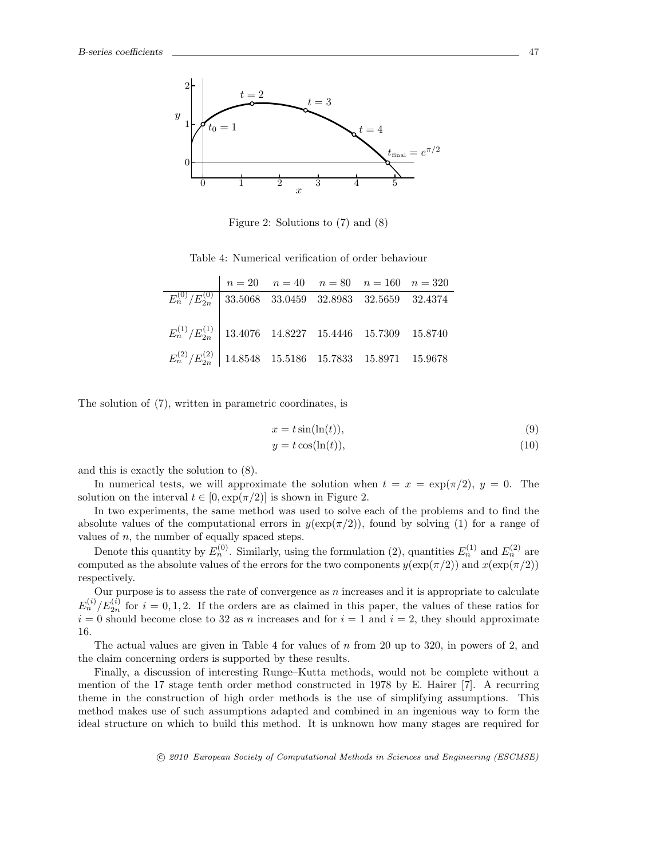

Figure 2: Solutions to (7) and (8)

Table 4: Numerical verification of order behaviour

|                                                                  |  | $n = 20$ $n = 40$ $n = 80$ $n = 160$ $n = 320$ |  |
|------------------------------------------------------------------|--|------------------------------------------------|--|
| $E_n^{(0)}/E_{2n}^{(0)}$ 33.5068 33.0459 32.8983 32.5659 32.4374 |  |                                                |  |
|                                                                  |  |                                                |  |
| $E_n^{(1)}/E_{2n}^{(1)}$ 13.4076 14.8227 15.4446 15.7309 15.8740 |  |                                                |  |
| $E_n^{(2)}/E_{2n}^{(2)}$ 14.8548 15.5186 15.7833 15.8971 15.9678 |  |                                                |  |

The solution of (7), written in parametric coordinates, is

$$
x = t\sin(\ln(t)),\tag{9}
$$

$$
y = t\cos(\ln(t)),\tag{10}
$$

and this is exactly the solution to (8).

In numerical tests, we will approximate the solution when  $t = x = \exp(\pi/2)$ ,  $y = 0$ . The solution on the interval  $t \in [0, \exp(\pi/2)]$  is shown in Figure 2.

In two experiments, the same method was used to solve each of the problems and to find the absolute values of the computational errors in  $y(\exp(\pi/2))$ , found by solving (1) for a range of values of  $n$ , the number of equally spaced steps.

Denote this quantity by  $E_n^{(0)}$ . Similarly, using the formulation (2), quantities  $E_n^{(1)}$  and  $E_n^{(2)}$  are computed as the absolute values of the errors for the two components  $y(\exp(\pi/2))$  and  $x(\exp(\pi/2))$ respectively.

Our purpose is to assess the rate of convergence as  $n$  increases and it is appropriate to calculate  $E_n^{(i)}/E_{2n}^{(i)}$  for  $i = 0, 1, 2$ . If the orders are as claimed in this paper, the values of these ratios for  $i = 0$  should become close to 32 as n increases and for  $i = 1$  and  $i = 2$ , they should approximate 16.

The actual values are given in Table 4 for values of  $n$  from 20 up to 320, in powers of 2, and the claim concerning orders is supported by these results.

Finally, a discussion of interesting Runge–Kutta methods, would not be complete without a mention of the 17 stage tenth order method constructed in 1978 by E. Hairer [7]. A recurring theme in the construction of high order methods is the use of simplifying assumptions. This method makes use of such assumptions adapted and combined in an ingenious way to form the ideal structure on which to build this method. It is unknown how many stages are required for